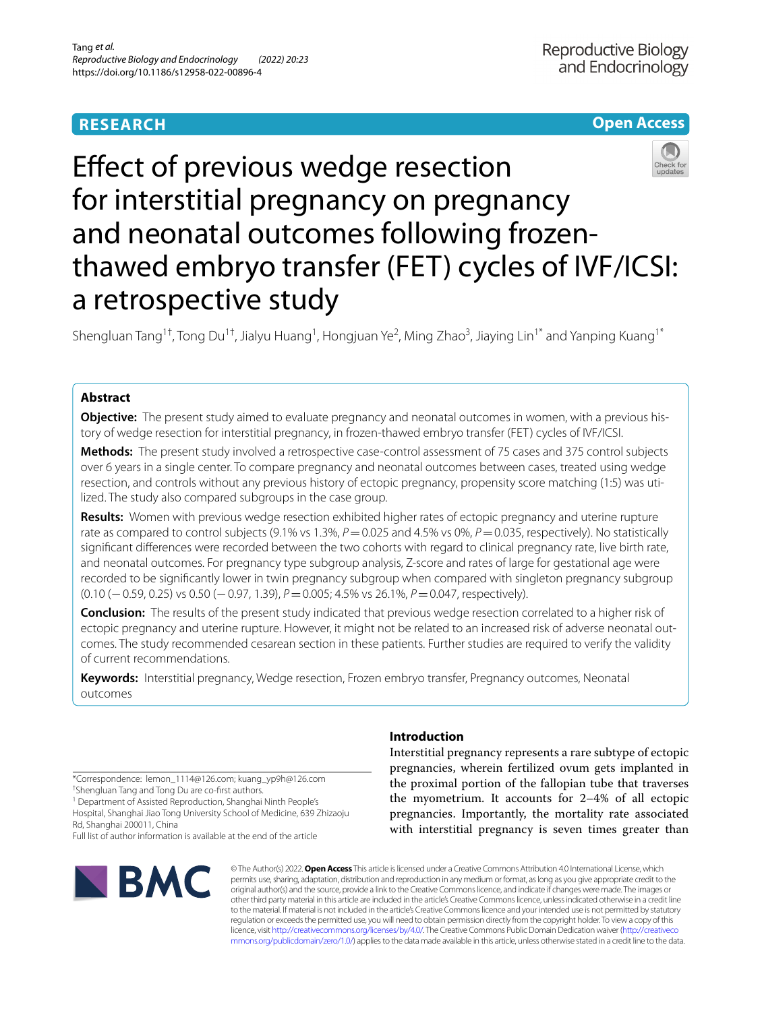a retrospective study

## **RESEARCH**



# Effect of previous wedge resection for interstitial pregnancy on pregnancy and neonatal outcomes following frozenthawed embryo transfer (FET) cycles of IVF/ICSI:

Shengluan Tang<sup>1†</sup>, Tong Du<sup>1†</sup>, Jialyu Huang<sup>1</sup>, Hongjuan Ye<sup>2</sup>, Ming Zhao<sup>3</sup>, Jiaying Lin<sup>1\*</sup> and Yanping Kuang<sup>1\*</sup>

## **Abstract**

**Objective:** The present study aimed to evaluate pregnancy and neonatal outcomes in women, with a previous history of wedge resection for interstitial pregnancy, in frozen-thawed embryo transfer (FET) cycles of IVF/ICSI.

**Methods:** The present study involved a retrospective case-control assessment of 75 cases and 375 control subjects over 6 years in a single center. To compare pregnancy and neonatal outcomes between cases, treated using wedge resection, and controls without any previous history of ectopic pregnancy, propensity score matching (1:5) was utilized. The study also compared subgroups in the case group.

**Results:** Women with previous wedge resection exhibited higher rates of ectopic pregnancy and uterine rupture rate as compared to control subjects (9.1% vs 1.3%,  $P = 0.025$  and 4.5% vs 0%,  $P = 0.035$ , respectively). No statistically signifcant diferences were recorded between the two cohorts with regard to clinical pregnancy rate, live birth rate, and neonatal outcomes. For pregnancy type subgroup analysis, Z-score and rates of large for gestational age were recorded to be signifcantly lower in twin pregnancy subgroup when compared with singleton pregnancy subgroup (0.10 (−0.59, 0.25) vs 0.50 (−0.97, 1.39), *P*=0.005; 4.5% vs 26.1%, *P*=0.047, respectively).

**Conclusion:** The results of the present study indicated that previous wedge resection correlated to a higher risk of ectopic pregnancy and uterine rupture. However, it might not be related to an increased risk of adverse neonatal outcomes. The study recommended cesarean section in these patients. Further studies are required to verify the validity of current recommendations.

**Keywords:** Interstitial pregnancy, Wedge resection, Frozen embryo transfer, Pregnancy outcomes, Neonatal outcomes

\*Correspondence: lemon\_1114@126.com; kuang\_yp9h@126.com † Shengluan Tang and Tong Du are co-frst authors.

<sup>1</sup> Department of Assisted Reproduction, Shanghai Ninth People's Hospital, Shanghai Jiao Tong University School of Medicine, 639 Zhizaoju Rd, Shanghai 200011, China

Full list of author information is available at the end of the article



## **Introduction**

Interstitial pregnancy represents a rare subtype of ectopic pregnancies, wherein fertilized ovum gets implanted in the proximal portion of the fallopian tube that traverses the myometrium. It accounts for 2–4% of all ectopic pregnancies. Importantly, the mortality rate associated with interstitial pregnancy is seven times greater than

© The Author(s) 2022. **Open Access** This article is licensed under a Creative Commons Attribution 4.0 International License, which permits use, sharing, adaptation, distribution and reproduction in any medium or format, as long as you give appropriate credit to the original author(s) and the source, provide a link to the Creative Commons licence, and indicate if changes were made. The images or other third party material in this article are included in the article's Creative Commons licence, unless indicated otherwise in a credit line to the material. If material is not included in the article's Creative Commons licence and your intended use is not permitted by statutory regulation or exceeds the permitted use, you will need to obtain permission directly from the copyright holder. To view a copy of this licence, visit [http://creativecommons.org/licenses/by/4.0/.](http://creativecommons.org/licenses/by/4.0/) The Creative Commons Public Domain Dedication waiver ([http://creativeco](http://creativecommons.org/publicdomain/zero/1.0/) [mmons.org/publicdomain/zero/1.0/](http://creativecommons.org/publicdomain/zero/1.0/)) applies to the data made available in this article, unless otherwise stated in a credit line to the data.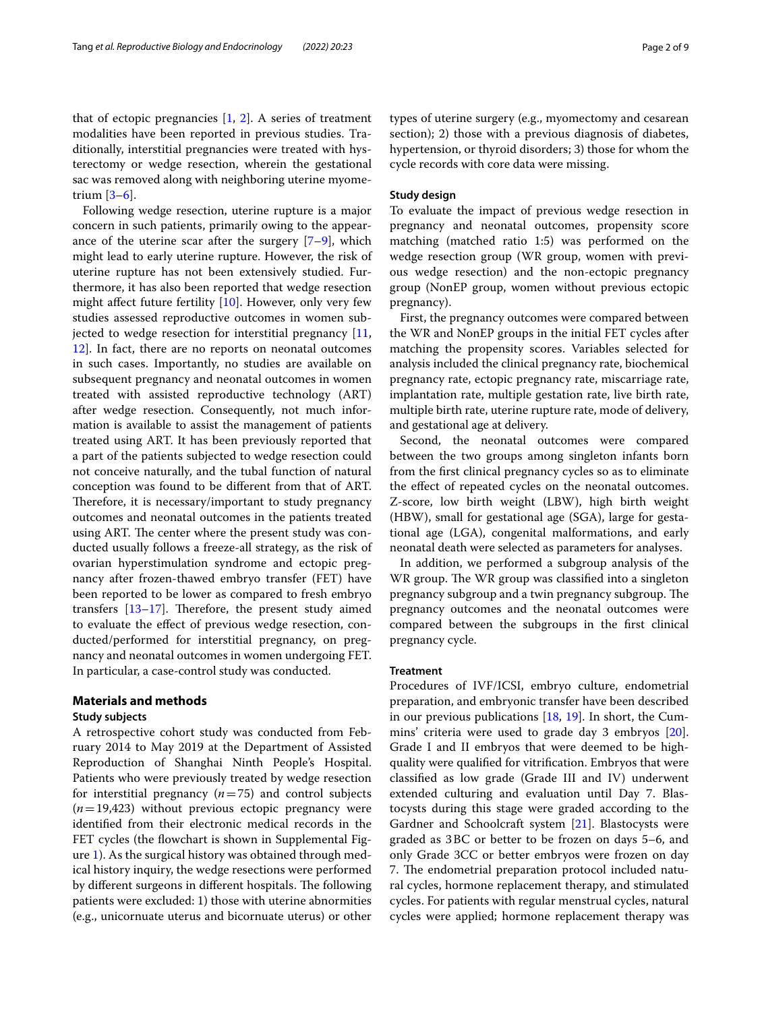that of ectopic pregnancies [\[1,](#page-7-0) [2\]](#page-7-1). A series of treatment modalities have been reported in previous studies. Traditionally, interstitial pregnancies were treated with hysterectomy or wedge resection, wherein the gestational sac was removed along with neighboring uterine myometrium [\[3](#page-7-2)[–6](#page-7-3)].

Following wedge resection, uterine rupture is a major concern in such patients, primarily owing to the appearance of the uterine scar after the surgery  $[7-9]$  $[7-9]$  $[7-9]$ , which might lead to early uterine rupture. However, the risk of uterine rupture has not been extensively studied. Furthermore, it has also been reported that wedge resection might afect future fertility [\[10](#page-7-6)]. However, only very few studies assessed reproductive outcomes in women subjected to wedge resection for interstitial pregnancy [\[11](#page-7-7), [12\]](#page-7-8). In fact, there are no reports on neonatal outcomes in such cases. Importantly, no studies are available on subsequent pregnancy and neonatal outcomes in women treated with assisted reproductive technology (ART) after wedge resection. Consequently, not much information is available to assist the management of patients treated using ART. It has been previously reported that a part of the patients subjected to wedge resection could not conceive naturally, and the tubal function of natural conception was found to be diferent from that of ART. Therefore, it is necessary/important to study pregnancy outcomes and neonatal outcomes in the patients treated using ART. The center where the present study was conducted usually follows a freeze-all strategy, as the risk of ovarian hyperstimulation syndrome and ectopic pregnancy after frozen-thawed embryo transfer (FET) have been reported to be lower as compared to fresh embryo transfers  $[13-17]$  $[13-17]$  $[13-17]$ . Therefore, the present study aimed to evaluate the efect of previous wedge resection, conducted/performed for interstitial pregnancy, on pregnancy and neonatal outcomes in women undergoing FET. In particular, a case-control study was conducted.

## **Materials and methods**

## **Study subjects**

A retrospective cohort study was conducted from February 2014 to May 2019 at the Department of Assisted Reproduction of Shanghai Ninth People's Hospital. Patients who were previously treated by wedge resection for interstitial pregnancy (*n*=75) and control subjects (*n*=19,423) without previous ectopic pregnancy were identifed from their electronic medical records in the FET cycles (the fowchart is shown in Supplemental Figure [1](#page-7-10)). As the surgical history was obtained through medical history inquiry, the wedge resections were performed by different surgeons in different hospitals. The following patients were excluded: 1) those with uterine abnormities (e.g., unicornuate uterus and bicornuate uterus) or other types of uterine surgery (e.g., myomectomy and cesarean section); 2) those with a previous diagnosis of diabetes, hypertension, or thyroid disorders; 3) those for whom the cycle records with core data were missing.

## **Study design**

To evaluate the impact of previous wedge resection in pregnancy and neonatal outcomes, propensity score matching (matched ratio 1:5) was performed on the wedge resection group (WR group, women with previous wedge resection) and the non-ectopic pregnancy group (NonEP group, women without previous ectopic pregnancy).

First, the pregnancy outcomes were compared between the WR and NonEP groups in the initial FET cycles after matching the propensity scores. Variables selected for analysis included the clinical pregnancy rate, biochemical pregnancy rate, ectopic pregnancy rate, miscarriage rate, implantation rate, multiple gestation rate, live birth rate, multiple birth rate, uterine rupture rate, mode of delivery, and gestational age at delivery.

Second, the neonatal outcomes were compared between the two groups among singleton infants born from the frst clinical pregnancy cycles so as to eliminate the effect of repeated cycles on the neonatal outcomes. Z-score, low birth weight (LBW), high birth weight (HBW), small for gestational age (SGA), large for gestational age (LGA), congenital malformations, and early neonatal death were selected as parameters for analyses.

In addition, we performed a subgroup analysis of the WR group. The WR group was classified into a singleton pregnancy subgroup and a twin pregnancy subgroup. The pregnancy outcomes and the neonatal outcomes were compared between the subgroups in the frst clinical pregnancy cycle.

## **Treatment**

Procedures of IVF/ICSI, embryo culture, endometrial preparation, and embryonic transfer have been described in our previous publications [\[18](#page-8-1), [19](#page-8-2)]. In short, the Cummins' criteria were used to grade day 3 embryos [\[20](#page-8-3)]. Grade I and II embryos that were deemed to be highquality were qualifed for vitrifcation. Embryos that were classifed as low grade (Grade III and IV) underwent extended culturing and evaluation until Day 7. Blastocysts during this stage were graded according to the Gardner and Schoolcraft system [[21\]](#page-8-4). Blastocysts were graded as 3BC or better to be frozen on days 5–6, and only Grade 3CC or better embryos were frozen on day 7. The endometrial preparation protocol included natural cycles, hormone replacement therapy, and stimulated cycles. For patients with regular menstrual cycles, natural cycles were applied; hormone replacement therapy was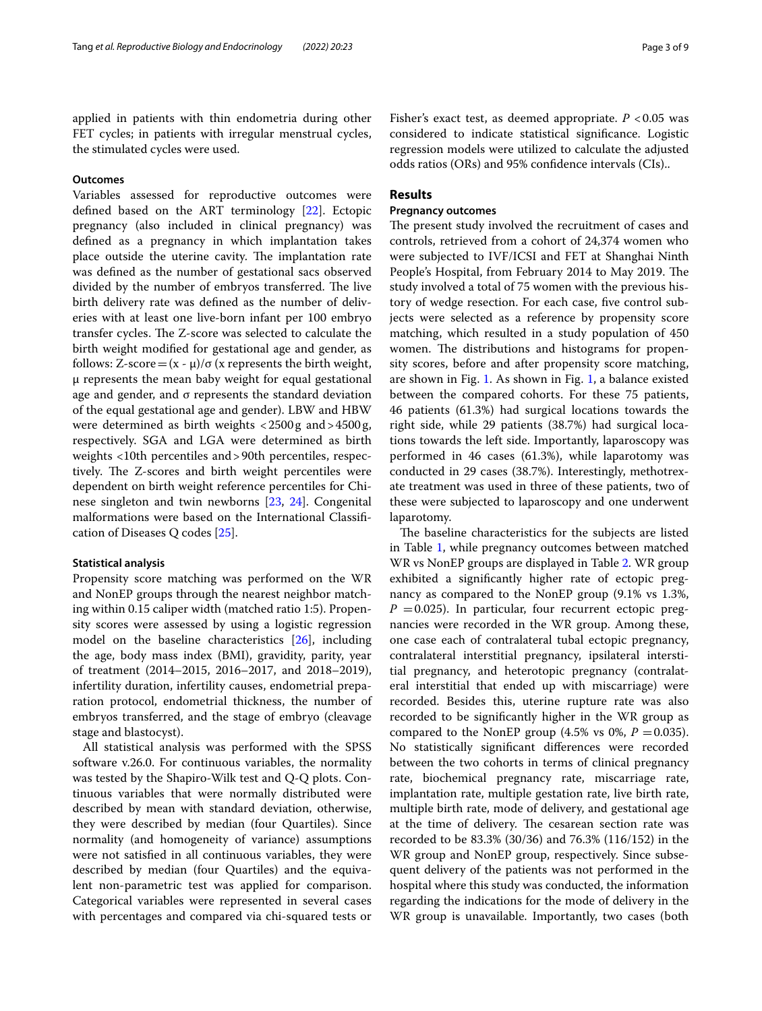applied in patients with thin endometria during other FET cycles; in patients with irregular menstrual cycles, the stimulated cycles were used.

## **Outcomes**

Variables assessed for reproductive outcomes were defned based on the ART terminology [\[22](#page-8-5)]. Ectopic pregnancy (also included in clinical pregnancy) was defned as a pregnancy in which implantation takes place outside the uterine cavity. The implantation rate was defned as the number of gestational sacs observed divided by the number of embryos transferred. The live birth delivery rate was defned as the number of deliveries with at least one live-born infant per 100 embryo transfer cycles. The Z-score was selected to calculate the birth weight modifed for gestational age and gender, as follows: Z-score =  $(x - \mu)/\sigma$  (x represents the birth weight, μ represents the mean baby weight for equal gestational age and gender, and σ represents the standard deviation of the equal gestational age and gender). LBW and HBW were determined as birth weights <2500g and>4500g, respectively. SGA and LGA were determined as birth weights <10th percentiles and>90th percentiles, respectively. The Z-scores and birth weight percentiles were dependent on birth weight reference percentiles for Chinese singleton and twin newborns [\[23](#page-8-6), [24](#page-8-7)]. Congenital malformations were based on the International Classifcation of Diseases Q codes [[25\]](#page-8-8).

## **Statistical analysis**

Propensity score matching was performed on the WR and NonEP groups through the nearest neighbor matching within 0.15 caliper width (matched ratio 1:5). Propensity scores were assessed by using a logistic regression model on the baseline characteristics [[26\]](#page-8-9), including the age, body mass index (BMI), gravidity, parity, year of treatment (2014–2015, 2016–2017, and 2018–2019), infertility duration, infertility causes, endometrial preparation protocol, endometrial thickness, the number of embryos transferred, and the stage of embryo (cleavage stage and blastocyst).

All statistical analysis was performed with the SPSS software v.26.0. For continuous variables, the normality was tested by the Shapiro-Wilk test and Q-Q plots. Continuous variables that were normally distributed were described by mean with standard deviation, otherwise, they were described by median (four Quartiles). Since normality (and homogeneity of variance) assumptions were not satisfed in all continuous variables, they were described by median (four Quartiles) and the equivalent non-parametric test was applied for comparison. Categorical variables were represented in several cases with percentages and compared via chi-squared tests or Fisher's exact test, as deemed appropriate.  $P < 0.05$  was considered to indicate statistical signifcance. Logistic regression models were utilized to calculate the adjusted odds ratios (ORs) and 95% confdence intervals (CIs)..

## **Results**

## **Pregnancy outcomes**

The present study involved the recruitment of cases and controls, retrieved from a cohort of 24,374 women who were subjected to IVF/ICSI and FET at Shanghai Ninth People's Hospital, from February 2014 to May 2019. The study involved a total of 75 women with the previous history of wedge resection. For each case, fve control subjects were selected as a reference by propensity score matching, which resulted in a study population of 450 women. The distributions and histograms for propensity scores, before and after propensity score matching, are shown in Fig. [1.](#page-3-0) As shown in Fig. [1](#page-3-0), a balance existed between the compared cohorts. For these 75 patients, 46 patients (61.3%) had surgical locations towards the right side, while 29 patients (38.7%) had surgical locations towards the left side. Importantly, laparoscopy was performed in 46 cases (61.3%), while laparotomy was conducted in 29 cases (38.7%). Interestingly, methotrexate treatment was used in three of these patients, two of these were subjected to laparoscopy and one underwent laparotomy.

The baseline characteristics for the subjects are listed in Table [1](#page-4-0), while pregnancy outcomes between matched WR vs NonEP groups are displayed in Table [2](#page-5-0). WR group exhibited a signifcantly higher rate of ectopic pregnancy as compared to the NonEP group (9.1% vs 1.3%,  $P = 0.025$ ). In particular, four recurrent ectopic pregnancies were recorded in the WR group. Among these, one case each of contralateral tubal ectopic pregnancy, contralateral interstitial pregnancy, ipsilateral interstitial pregnancy, and heterotopic pregnancy (contralateral interstitial that ended up with miscarriage) were recorded. Besides this, uterine rupture rate was also recorded to be signifcantly higher in the WR group as compared to the NonEP group  $(4.5\% \text{ vs } 0\%, P = 0.035)$ . No statistically signifcant diferences were recorded between the two cohorts in terms of clinical pregnancy rate, biochemical pregnancy rate, miscarriage rate, implantation rate, multiple gestation rate, live birth rate, multiple birth rate, mode of delivery, and gestational age at the time of delivery. The cesarean section rate was recorded to be 83.3% (30/36) and 76.3% (116/152) in the WR group and NonEP group, respectively. Since subsequent delivery of the patients was not performed in the hospital where this study was conducted, the information regarding the indications for the mode of delivery in the WR group is unavailable. Importantly, two cases (both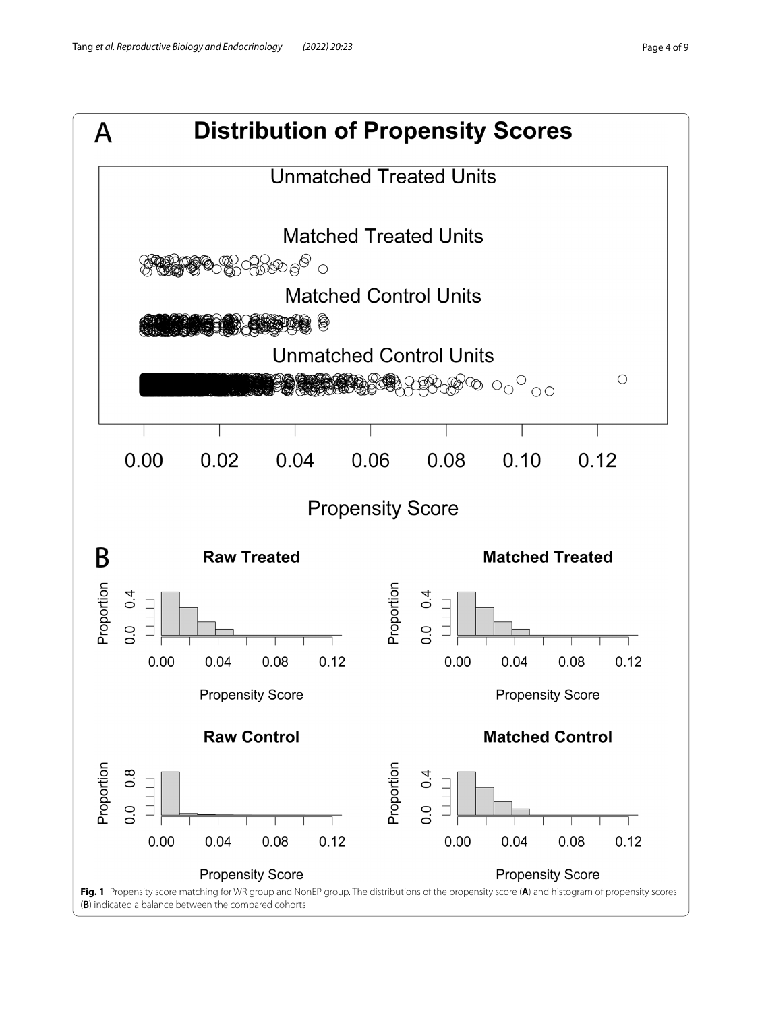<span id="page-3-0"></span>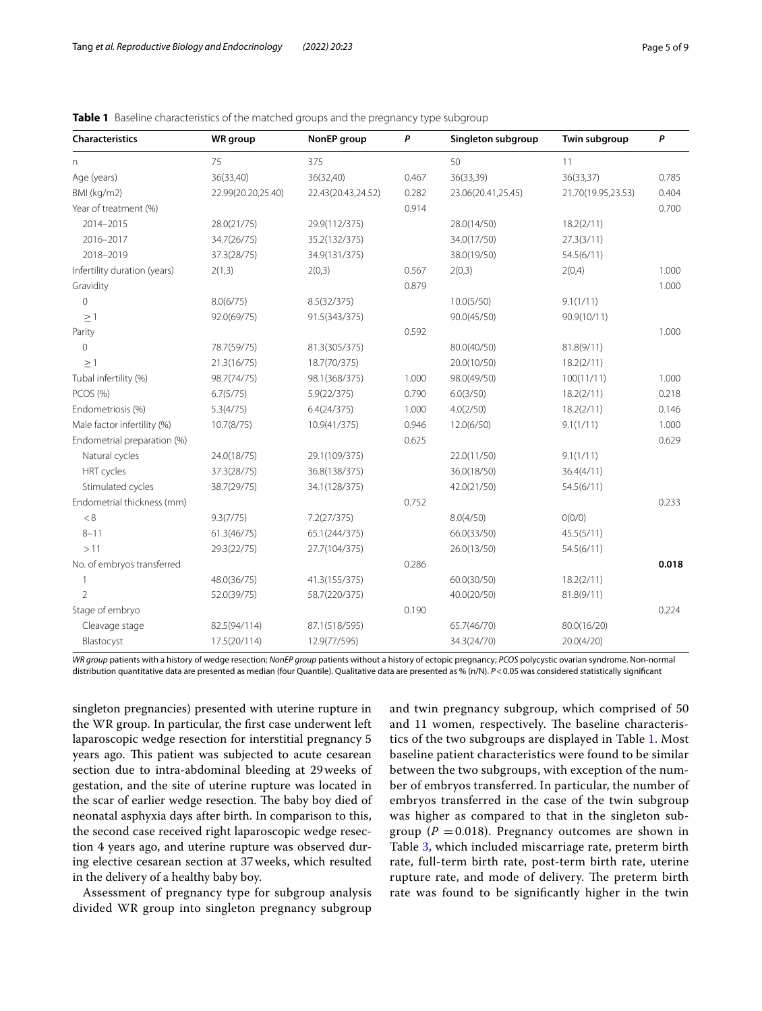| <b>Characteristics</b>       | <b>WR</b> group    | NonEP group        | P     | Singleton subgroup | Twin subgroup      | $\mathsf{P}$ |
|------------------------------|--------------------|--------------------|-------|--------------------|--------------------|--------------|
| $\mathsf{n}$                 | 75                 | 375                |       | 50                 | 11                 |              |
| Age (years)                  | 36(33,40)          | 36(32,40)          | 0.467 | 36(33,39)          | 36(33,37)          | 0.785        |
| BMI (kg/m2)                  | 22.99(20.20,25.40) | 22.43(20.43,24.52) | 0.282 | 23.06(20.41,25.45) | 21.70(19.95,23.53) | 0.404        |
| Year of treatment (%)        |                    |                    | 0.914 |                    |                    | 0.700        |
| 2014-2015                    | 28.0(21/75)        | 29.9(112/375)      |       | 28.0(14/50)        | 18.2(2/11)         |              |
| 2016-2017                    | 34.7(26/75)        | 35.2(132/375)      |       | 34.0(17/50)        | 27.3(3/11)         |              |
| 2018-2019                    | 37.3(28/75)        | 34.9(131/375)      |       | 38.0(19/50)        | 54.5(6/11)         |              |
| Infertility duration (years) | 2(1,3)             | 2(0,3)             | 0.567 | 2(0,3)             | 2(0,4)             | 1.000        |
| Gravidity                    |                    |                    | 0.879 |                    |                    | 1.000        |
| $\mathbf 0$                  | 8.0(6/75)          | 8.5(32/375)        |       | 10.0(5/50)         | 9.1(1/11)          |              |
| $\geq$ 1                     | 92.0(69/75)        | 91.5(343/375)      |       | 90.0(45/50)        | 90.9(10/11)        |              |
| Parity                       |                    |                    | 0.592 |                    |                    | 1.000        |
| $\mathbf 0$                  | 78.7(59/75)        | 81.3(305/375)      |       | 80.0(40/50)        | 81.8(9/11)         |              |
| $\geq$ 1                     | 21.3(16/75)        | 18.7(70/375)       |       | 20.0(10/50)        | 18.2(2/11)         |              |
| Tubal infertility (%)        | 98.7(74/75)        | 98.1(368/375)      | 1.000 | 98.0(49/50)        | 100(11/11)         | 1.000        |
| PCOS (%)                     | 6.7(5/75)          | 5.9(22/375)        | 0.790 | 6.0(3/50)          | 18.2(2/11)         | 0.218        |
| Endometriosis (%)            | 5.3(4/75)          | 6.4(24/375)        | 1.000 | 4.0(2/50)          | 18.2(2/11)         | 0.146        |
| Male factor infertility (%)  | 10.7(8/75)         | 10.9(41/375)       | 0.946 | 12.0(6/50)         | 9.1(1/11)          | 1.000        |
| Endometrial preparation (%)  |                    |                    | 0.625 |                    |                    | 0.629        |
| Natural cycles               | 24.0(18/75)        | 29.1(109/375)      |       | 22.0(11/50)        | 9.1(1/11)          |              |
| HRT cycles                   | 37.3(28/75)        | 36.8(138/375)      |       | 36.0(18/50)        | 36.4(4/11)         |              |
| Stimulated cycles            | 38.7(29/75)        | 34.1(128/375)      |       | 42.0(21/50)        | 54.5(6/11)         |              |
| Endometrial thickness (mm)   |                    |                    | 0.752 |                    |                    | 0.233        |
| $< 8\,$                      | 9.3(7/75)          | 7.2(27/375)        |       | 8.0(4/50)          | O(0/0)             |              |
| $8 - 11$                     | 61.3(46/75)        | 65.1(244/375)      |       | 66.0(33/50)        | 45.5(5/11)         |              |
| >11                          | 29.3(22/75)        | 27.7(104/375)      |       | 26.0(13/50)        | 54.5(6/11)         |              |
| No. of embryos transferred   |                    |                    | 0.286 |                    |                    | 0.018        |
|                              | 48.0(36/75)        | 41.3(155/375)      |       | 60.0(30/50)        | 18.2(2/11)         |              |
| $\overline{2}$               | 52.0(39/75)        | 58.7(220/375)      |       | 40.0(20/50)        | 81.8(9/11)         |              |
| Stage of embryo              |                    |                    | 0.190 |                    |                    | 0.224        |
| Cleavage stage               | 82.5(94/114)       | 87.1(518/595)      |       | 65.7(46/70)        | 80.0(16/20)        |              |
| Blastocyst                   | 17.5(20/114)       | 12.9(77/595)       |       | 34.3(24/70)        | 20.0(4/20)         |              |

<span id="page-4-0"></span>

|  | Table 1 Baseline characteristics of the matched groups and the pregnancy type subgroup |  |  |  |  |
|--|----------------------------------------------------------------------------------------|--|--|--|--|
|--|----------------------------------------------------------------------------------------|--|--|--|--|

*WR group* patients with a history of wedge resection; *NonEP group* patients without a history of ectopic pregnancy; *PCOS* polycystic ovarian syndrome. Non-normal distribution quantitative data are presented as median (four Quantile). Qualitative data are presented as % (n/N).  $P < 0.05$  was considered statistically significant

singleton pregnancies) presented with uterine rupture in the WR group. In particular, the frst case underwent left laparoscopic wedge resection for interstitial pregnancy 5 years ago. This patient was subjected to acute cesarean section due to intra-abdominal bleeding at 29weeks of gestation, and the site of uterine rupture was located in the scar of earlier wedge resection. The baby boy died of neonatal asphyxia days after birth. In comparison to this, the second case received right laparoscopic wedge resection 4 years ago, and uterine rupture was observed during elective cesarean section at 37weeks, which resulted in the delivery of a healthy baby boy.

Assessment of pregnancy type for subgroup analysis divided WR group into singleton pregnancy subgroup and twin pregnancy subgroup, which comprised of 50 and 11 women, respectively. The baseline characteristics of the two subgroups are displayed in Table [1.](#page-4-0) Most baseline patient characteristics were found to be similar between the two subgroups, with exception of the number of embryos transferred. In particular, the number of embryos transferred in the case of the twin subgroup was higher as compared to that in the singleton subgroup  $(P = 0.018)$ . Pregnancy outcomes are shown in Table [3](#page-5-1), which included miscarriage rate, preterm birth rate, full-term birth rate, post-term birth rate, uterine rupture rate, and mode of delivery. The preterm birth rate was found to be signifcantly higher in the twin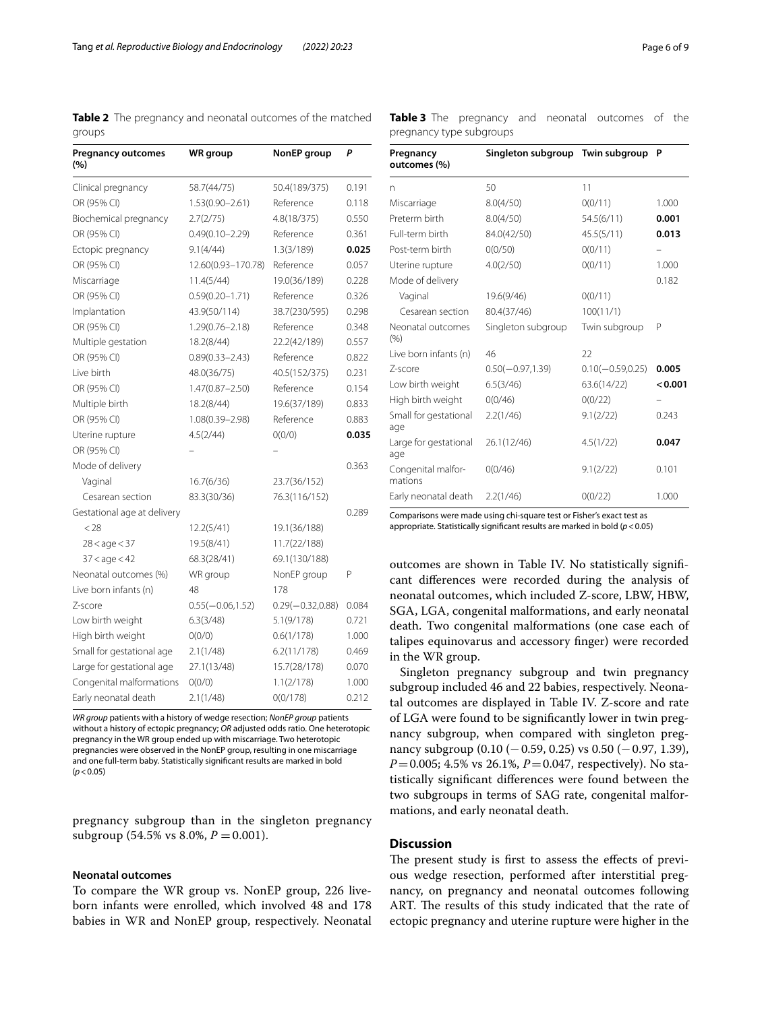<span id="page-5-0"></span>**Table 2** The pregnancy and neonatal outcomes of the matched groups

| <b>Pregnancy outcomes</b><br>(%) | WR group            | NonEP group        | P     |
|----------------------------------|---------------------|--------------------|-------|
| Clinical pregnancy               | 58.7(44/75)         | 50.4(189/375)      | 0.191 |
| OR (95% CI)                      | $1.53(0.90 - 2.61)$ | Reference          | 0.118 |
| Biochemical pregnancy            | 2.7(2/75)           | 4.8(18/375)        | 0.550 |
| OR (95% CI)                      | $0.49(0.10 - 2.29)$ | Reference          | 0.361 |
| Ectopic pregnancy                | 9.1(4/44)           | 1.3(3/189)         | 0.025 |
| OR (95% CI)                      | 12.60(0.93-170.78)  | Reference          | 0.057 |
| Miscarriage                      | 11.4(5/44)          | 19.0(36/189)       | 0.228 |
| OR (95% CI)                      | $0.59(0.20 - 1.71)$ | Reference          | 0.326 |
| Implantation                     | 43.9(50/114)        | 38.7(230/595)      | 0.298 |
| OR (95% CI)                      | $1.29(0.76 - 2.18)$ | Reference          | 0.348 |
| Multiple gestation               | 18.2(8/44)          | 22.2(42/189)       | 0.557 |
| OR (95% CI)                      | $0.89(0.33 - 2.43)$ | Reference          | 0.822 |
| Live birth                       | 48.0(36/75)         | 40.5(152/375)      | 0.231 |
| OR (95% CI)                      | 1.47(0.87-2.50)     | Reference          | 0.154 |
| Multiple birth                   | 18.2(8/44)          | 19.6(37/189)       | 0.833 |
| OR (95% CI)                      | 1.08(0.39-2.98)     | Reference          | 0.883 |
| Uterine rupture                  | 4.5(2/44)           | O(0/0)             | 0.035 |
| OR (95% CI)                      |                     |                    |       |
| Mode of delivery                 |                     |                    | 0.363 |
| Vaginal                          | 16.7(6/36)          | 23.7(36/152)       |       |
| Cesarean section                 | 83.3(30/36)         | 76.3(116/152)      |       |
| Gestational age at delivery      |                     |                    | 0.289 |
| < 28                             | 12.2(5/41)          | 19.1(36/188)       |       |
| $28 <$ age $<$ 37                | 19.5(8/41)          | 11.7(22/188)       |       |
| $37 <$ age $<$ 42                | 68.3(28/41)         | 69.1(130/188)      |       |
| Neonatal outcomes (%)            | WR group            | NonEP group        | Ρ     |
| Live born infants (n)            | 48                  | 178                |       |
| Z-score                          | $0.55(-0.06, 1.52)$ | $0.29(-0.32,0.88)$ | 0.084 |
| Low birth weight                 | 6.3(3/48)           | 5.1(9/178)         | 0.721 |
| High birth weight                | 0(0/0)              | 0.6(1/178)         | 1.000 |
| Small for gestational age        | 2.1(1/48)           | 6.2(11/178)        | 0.469 |
| Large for gestational age        | 27.1(13/48)         | 15.7(28/178)       | 0.070 |
| Congenital malformations         | 0(0/0)              | 1.1(2/178)         | 1.000 |
| Early neonatal death             | 2.1(1/48)           | 0(0/178)           | 0.212 |

*WR group* patients with a history of wedge resection; *NonEP group* patients without a history of ectopic pregnancy; *OR* adjusted odds ratio. One heterotopic pregnancy in the WR group ended up with miscarriage. Two heterotopic pregnancies were observed in the NonEP group, resulting in one miscarriage and one full-term baby. Statistically signifcant results are marked in bold (*p*<0.05)

pregnancy subgroup than in the singleton pregnancy subgroup (54.5% vs 8.0%,  $P = 0.001$ ).

## **Neonatal outcomes**

To compare the WR group vs. NonEP group, 226 liveborn infants were enrolled, which involved 48 and 178 babies in WR and NonEP group, respectively. Neonatal

<span id="page-5-1"></span>

|  | Table 3 The pregnancy and neonatal outcomes of the |  |  |  |
|--|----------------------------------------------------|--|--|--|
|  | pregnancy type subgroups                           |  |  |  |

| Pregnancy<br>outcomes (%)     | Singleton subgroup | Twin subgroup       | P       |
|-------------------------------|--------------------|---------------------|---------|
| n                             | 50                 | 11                  |         |
| Miscarriage                   | 8.0(4/50)          | 0(0/11)             | 1.000   |
| Preterm birth                 | 8.0(4/50)          | 54.5(6/11)          | 0.001   |
| Full-term birth               | 84.0(42/50)        | 45.5(5/11)          | 0.013   |
| Post-term birth               | 0(0/50)            | 0(0/11)             |         |
| Uterine rupture               | 4.0(2/50)          | 0(0/11)             | 1.000   |
| Mode of delivery              |                    |                     | 0.182   |
| Vaginal                       | 19.6(9/46)         | 0(0/11)             |         |
| Cesarean section              | 80.4(37/46)        | 100(11/1)           |         |
| Neonatal outcomes<br>(%)      | Singleton subgroup | Twin subgroup       | Р       |
| Live born infants (n)         | 46                 | 22                  |         |
| 7-score                       | $0.50(-0.97,1.39)$ | $0.10(-0.59, 0.25)$ | 0.005   |
| Low birth weight              | 6.5(3/46)          | 63.6(14/22)         | < 0.001 |
| High birth weight             | 0(0/46)            | 0(0/22)             |         |
| Small for gestational<br>age  | 2.2(1/46)          | 9.1(2/22)           | 0.243   |
| Large for gestational<br>age  | 26.1(12/46)        | 4.5(1/22)           | 0.047   |
| Congenital malfor-<br>mations | 0(0/46)            | 9.1(2/22)           | 0.101   |
| Early neonatal death          | 2.2(1/46)          | 0(0/22)             | 1.000   |

Comparisons were made using chi-square test or Fisher's exact test as appropriate. Statistically signifcant results are marked in bold (*p*<0.05)

outcomes are shown in Table IV. No statistically signifcant diferences were recorded during the analysis of neonatal outcomes, which included Z-score, LBW, HBW, SGA, LGA, congenital malformations, and early neonatal death. Two congenital malformations (one case each of talipes equinovarus and accessory fnger) were recorded in the WR group.

Singleton pregnancy subgroup and twin pregnancy subgroup included 46 and 22 babies, respectively. Neonatal outcomes are displayed in Table IV. Z-score and rate of LGA were found to be signifcantly lower in twin pregnancy subgroup, when compared with singleton pregnancy subgroup (0.10 (−0.59, 0.25) vs 0.50 (−0.97, 1.39), *P*=0.005; 4.5% vs 26.1%, *P*=0.047, respectively). No statistically signifcant diferences were found between the two subgroups in terms of SAG rate, congenital malformations, and early neonatal death.

## **Discussion**

The present study is first to assess the effects of previous wedge resection, performed after interstitial pregnancy, on pregnancy and neonatal outcomes following ART. The results of this study indicated that the rate of ectopic pregnancy and uterine rupture were higher in the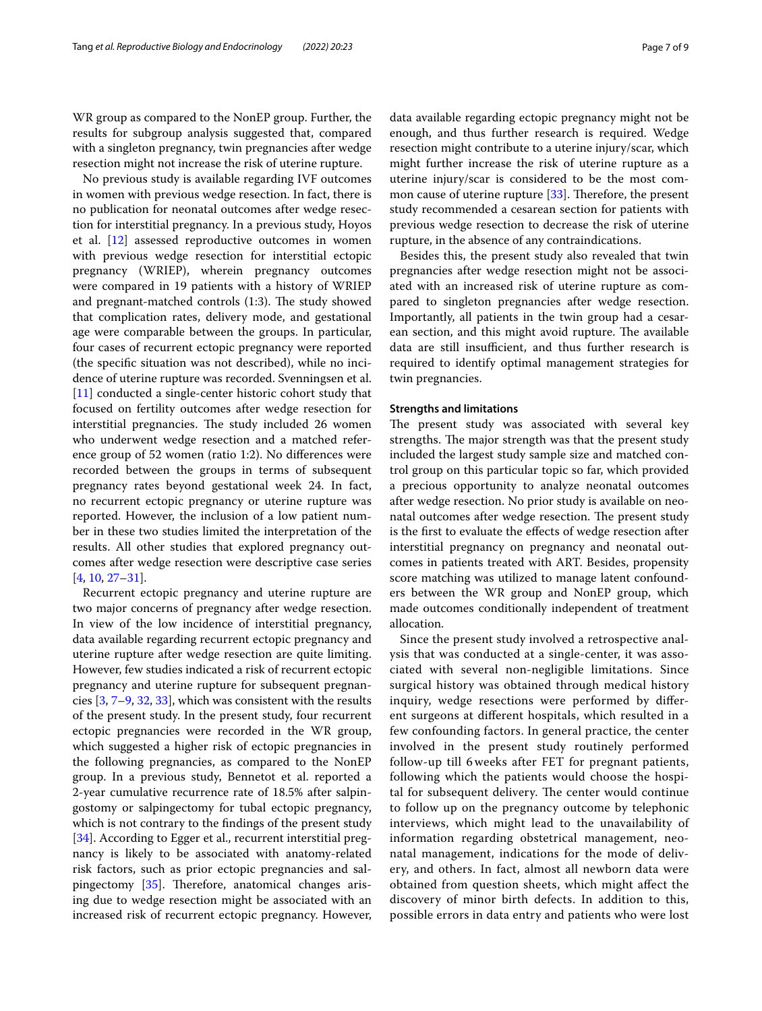WR group as compared to the NonEP group. Further, the results for subgroup analysis suggested that, compared with a singleton pregnancy, twin pregnancies after wedge resection might not increase the risk of uterine rupture.

No previous study is available regarding IVF outcomes in women with previous wedge resection. In fact, there is no publication for neonatal outcomes after wedge resection for interstitial pregnancy. In a previous study, Hoyos et al. [\[12\]](#page-7-8) assessed reproductive outcomes in women with previous wedge resection for interstitial ectopic pregnancy (WRIEP), wherein pregnancy outcomes were compared in 19 patients with a history of WRIEP and pregnant-matched controls  $(1:3)$ . The study showed that complication rates, delivery mode, and gestational age were comparable between the groups. In particular, four cases of recurrent ectopic pregnancy were reported (the specifc situation was not described), while no incidence of uterine rupture was recorded. Svenningsen et al. [[11\]](#page-7-7) conducted a single-center historic cohort study that focused on fertility outcomes after wedge resection for interstitial pregnancies. The study included 26 women who underwent wedge resection and a matched reference group of 52 women (ratio 1:2). No diferences were recorded between the groups in terms of subsequent pregnancy rates beyond gestational week 24. In fact, no recurrent ectopic pregnancy or uterine rupture was reported. However, the inclusion of a low patient number in these two studies limited the interpretation of the results. All other studies that explored pregnancy outcomes after wedge resection were descriptive case series [[4,](#page-7-11) [10](#page-7-6), [27](#page-8-10)[–31](#page-8-11)].

Recurrent ectopic pregnancy and uterine rupture are two major concerns of pregnancy after wedge resection. In view of the low incidence of interstitial pregnancy, data available regarding recurrent ectopic pregnancy and uterine rupture after wedge resection are quite limiting. However, few studies indicated a risk of recurrent ectopic pregnancy and uterine rupture for subsequent pregnancies [[3,](#page-7-2) [7–](#page-7-4)[9,](#page-7-5) [32](#page-8-12), [33](#page-8-13)], which was consistent with the results of the present study. In the present study, four recurrent ectopic pregnancies were recorded in the WR group, which suggested a higher risk of ectopic pregnancies in the following pregnancies, as compared to the NonEP group. In a previous study, Bennetot et al. reported a 2-year cumulative recurrence rate of 18.5% after salpingostomy or salpingectomy for tubal ectopic pregnancy, which is not contrary to the fndings of the present study [[34\]](#page-8-14). According to Egger et al., recurrent interstitial pregnancy is likely to be associated with anatomy-related risk factors, such as prior ectopic pregnancies and salpingectomy  $[35]$  $[35]$ . Therefore, anatomical changes arising due to wedge resection might be associated with an increased risk of recurrent ectopic pregnancy. However, data available regarding ectopic pregnancy might not be enough, and thus further research is required. Wedge resection might contribute to a uterine injury/scar, which might further increase the risk of uterine rupture as a uterine injury/scar is considered to be the most common cause of uterine rupture  $[33]$  $[33]$ . Therefore, the present study recommended a cesarean section for patients with previous wedge resection to decrease the risk of uterine rupture, in the absence of any contraindications.

Besides this, the present study also revealed that twin pregnancies after wedge resection might not be associated with an increased risk of uterine rupture as compared to singleton pregnancies after wedge resection. Importantly, all patients in the twin group had a cesarean section, and this might avoid rupture. The available data are still insufficient, and thus further research is required to identify optimal management strategies for twin pregnancies.

## **Strengths and limitations**

The present study was associated with several key strengths. The major strength was that the present study included the largest study sample size and matched control group on this particular topic so far, which provided a precious opportunity to analyze neonatal outcomes after wedge resection. No prior study is available on neonatal outcomes after wedge resection. The present study is the frst to evaluate the efects of wedge resection after interstitial pregnancy on pregnancy and neonatal outcomes in patients treated with ART. Besides, propensity score matching was utilized to manage latent confounders between the WR group and NonEP group, which made outcomes conditionally independent of treatment allocation.

Since the present study involved a retrospective analysis that was conducted at a single-center, it was associated with several non-negligible limitations. Since surgical history was obtained through medical history inquiry, wedge resections were performed by diferent surgeons at diferent hospitals, which resulted in a few confounding factors. In general practice, the center involved in the present study routinely performed follow-up till 6 weeks after FET for pregnant patients, following which the patients would choose the hospital for subsequent delivery. The center would continue to follow up on the pregnancy outcome by telephonic interviews, which might lead to the unavailability of information regarding obstetrical management, neonatal management, indications for the mode of delivery, and others. In fact, almost all newborn data were obtained from question sheets, which might afect the discovery of minor birth defects. In addition to this, possible errors in data entry and patients who were lost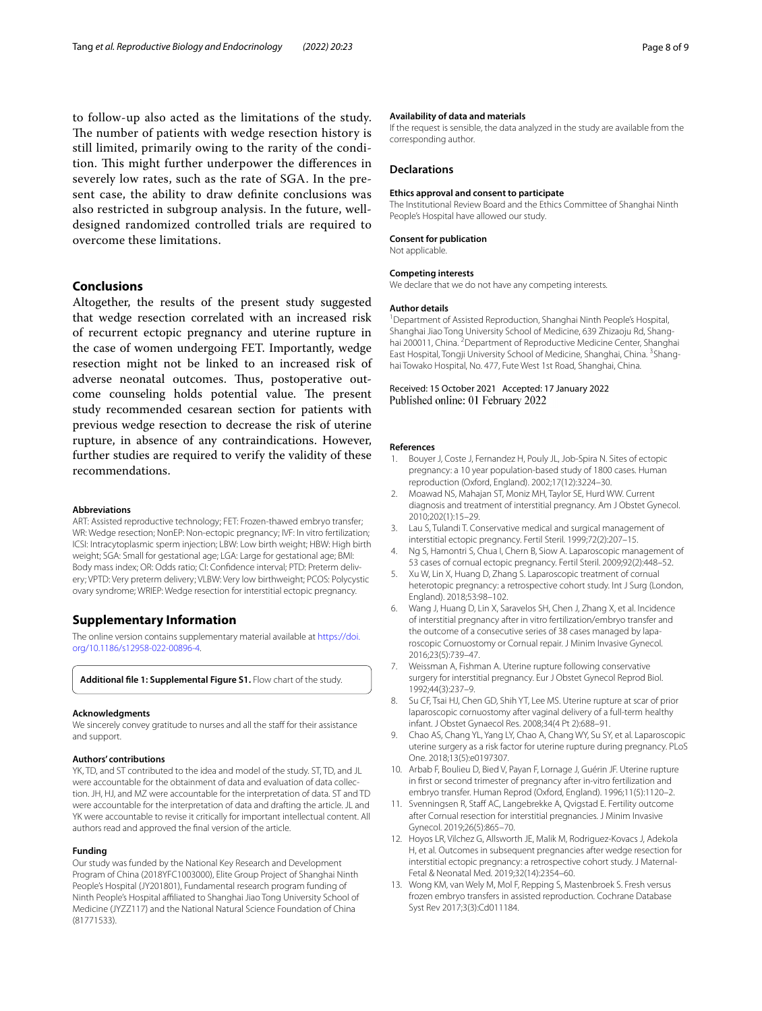to follow-up also acted as the limitations of the study. The number of patients with wedge resection history is still limited, primarily owing to the rarity of the condition. This might further underpower the differences in severely low rates, such as the rate of SGA. In the present case, the ability to draw defnite conclusions was also restricted in subgroup analysis. In the future, welldesigned randomized controlled trials are required to overcome these limitations.

## **Conclusions**

Altogether, the results of the present study suggested that wedge resection correlated with an increased risk of recurrent ectopic pregnancy and uterine rupture in the case of women undergoing FET. Importantly, wedge resection might not be linked to an increased risk of adverse neonatal outcomes. Thus, postoperative outcome counseling holds potential value. The present study recommended cesarean section for patients with previous wedge resection to decrease the risk of uterine rupture, in absence of any contraindications. However, further studies are required to verify the validity of these recommendations.

#### **Abbreviations**

ART: Assisted reproductive technology; FET: Frozen-thawed embryo transfer; WR: Wedge resection: NonEP: Non-ectopic pregnancy: IVF: In vitro fertilization: ICSI: Intracytoplasmic sperm injection; LBW: Low birth weight; HBW: High birth weight; SGA: Small for gestational age; LGA: Large for gestational age; BMI: Body mass index; OR: Odds ratio; CI: Confdence interval; PTD: Preterm delivery; VPTD: Very preterm delivery; VLBW: Very low birthweight; PCOS: Polycystic ovary syndrome; WRIEP: Wedge resection for interstitial ectopic pregnancy.

## **Supplementary Information**

The online version contains supplementary material available at [https://doi.](https://doi.org/10.1186/s12958-022-00896-4) [org/10.1186/s12958-022-00896-4](https://doi.org/10.1186/s12958-022-00896-4).

<span id="page-7-10"></span>**Additional fle 1: Supplemental Figure S1.** Flow chart of the study.

#### **Acknowledgments**

We sincerely convey gratitude to nurses and all the staff for their assistance and support.

#### **Authors' contributions**

YK, TD, and ST contributed to the idea and model of the study. ST, TD, and JL were accountable for the obtainment of data and evaluation of data collection. JH, HJ, and MZ were accountable for the interpretation of data. ST and TD were accountable for the interpretation of data and drafting the article. JL and YK were accountable to revise it critically for important intellectual content. All authors read and approved the fnal version of the article.

#### **Funding**

Our study was funded by the National Key Research and Development Program of China (2018YFC1003000), Elite Group Project of Shanghai Ninth People's Hospital (JY201801), Fundamental research program funding of Ninth People's Hospital afliated to Shanghai Jiao Tong University School of Medicine (JYZZ117) and the National Natural Science Foundation of China (81771533).

#### **Availability of data and materials**

If the request is sensible, the data analyzed in the study are available from the corresponding author.

#### **Declarations**

#### **Ethics approval and consent to participate**

The Institutional Review Board and the Ethics Committee of Shanghai Ninth People's Hospital have allowed our study.

#### **Consent for publication**

Not applicable.

#### **Competing interests**

We declare that we do not have any competing interests.

#### **Author details**

<sup>1</sup> Department of Assisted Reproduction, Shanghai Ninth People's Hospital, Shanghai Jiao Tong University School of Medicine, 639 Zhizaoju Rd, Shanghai 200011, China. <sup>2</sup> Department of Reproductive Medicine Center, Shanghai East Hospital, Tongji University School of Medicine, Shanghai, China. <sup>3</sup>Shanghai Towako Hospital, No. 477, Fute West 1st Road, Shanghai, China.

## Received: 15 October 2021 Accepted: 17 January 2022 Published online: 01 February 2022

#### **References**

- <span id="page-7-0"></span>1. Bouyer J, Coste J, Fernandez H, Pouly JL, Job-Spira N. Sites of ectopic pregnancy: a 10 year population-based study of 1800 cases. Human reproduction (Oxford, England). 2002;17(12):3224–30.
- <span id="page-7-1"></span>2. Moawad NS, Mahajan ST, Moniz MH, Taylor SE, Hurd WW. Current diagnosis and treatment of interstitial pregnancy. Am J Obstet Gynecol. 2010;202(1):15–29.
- <span id="page-7-2"></span>3. Lau S, Tulandi T. Conservative medical and surgical management of interstitial ectopic pregnancy. Fertil Steril. 1999;72(2):207–15.
- <span id="page-7-11"></span>4. Ng S, Hamontri S, Chua I, Chern B, Siow A. Laparoscopic management of 53 cases of cornual ectopic pregnancy. Fertil Steril. 2009;92(2):448–52.
- 5. Xu W, Lin X, Huang D, Zhang S. Laparoscopic treatment of cornual heterotopic pregnancy: a retrospective cohort study. Int J Surg (London, England). 2018;53:98–102.
- <span id="page-7-3"></span>6. Wang J, Huang D, Lin X, Saravelos SH, Chen J, Zhang X, et al. Incidence of interstitial pregnancy after in vitro fertilization/embryo transfer and the outcome of a consecutive series of 38 cases managed by laparoscopic Cornuostomy or Cornual repair. J Minim Invasive Gynecol. 2016;23(5):739–47.
- <span id="page-7-4"></span>7. Weissman A, Fishman A. Uterine rupture following conservative surgery for interstitial pregnancy. Eur J Obstet Gynecol Reprod Biol. 1992;44(3):237–9.
- 8. Su CF, Tsai HJ, Chen GD, Shih YT, Lee MS. Uterine rupture at scar of prior laparoscopic cornuostomy after vaginal delivery of a full-term healthy infant. J Obstet Gynaecol Res. 2008;34(4 Pt 2):688–91.
- <span id="page-7-5"></span>9. Chao AS, Chang YL, Yang LY, Chao A, Chang WY, Su SY, et al. Laparoscopic uterine surgery as a risk factor for uterine rupture during pregnancy. PLoS One. 2018;13(5):e0197307.
- <span id="page-7-6"></span>10. Arbab F, Boulieu D, Bied V, Payan F, Lornage J, Guérin JF. Uterine rupture in frst or second trimester of pregnancy after in-vitro fertilization and embryo transfer. Human Reprod (Oxford, England). 1996;11(5):1120–2.
- <span id="page-7-7"></span>11. Svenningsen R, Staff AC, Langebrekke A, Qvigstad E. Fertility outcome after Cornual resection for interstitial pregnancies. J Minim Invasive Gynecol. 2019;26(5):865–70.
- <span id="page-7-8"></span>12. Hoyos LR, Vilchez G, Allsworth JE, Malik M, Rodriguez-Kovacs J, Adekola H, et al. Outcomes in subsequent pregnancies after wedge resection for interstitial ectopic pregnancy: a retrospective cohort study. J Maternal-Fetal & Neonatal Med. 2019;32(14):2354–60.
- <span id="page-7-9"></span>13. Wong KM, van Wely M, Mol F, Repping S, Mastenbroek S. Fresh versus frozen embryo transfers in assisted reproduction. Cochrane Database Syst Rev 2017;3(3):Cd011184.